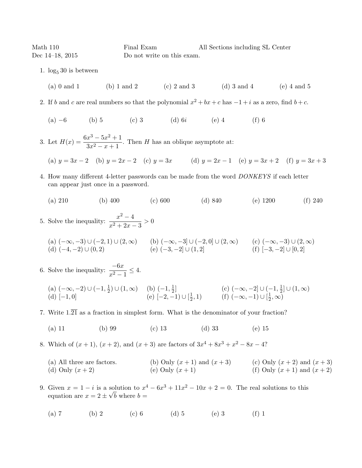Math 110 **Final Exam** All Sections including SL Center Dec 14–18, 2015 Do not write on this exam.

- 1.  $\log_5 30$  is between
	- (a) 0 and 1 (b) 1 and 2 (c) 2 and 3 (d) 3 and 4 (e) 4 and 5
- 2. If b and c are real numbers so that the polynomial  $x^2 + bx + c$  has  $-1 + i$  as a zero, find  $b + c$ .
	- (a) −6 (b) 5 (c) 3 (d) 6i (e) 4 (f) 6
- 3. Let  $H(x) = \frac{6x^3 5x^2 + 1}{x^2 1}$  $\frac{x}{3x^2-x+1}$ . Then H has an oblique asymptote at:

(a) 
$$
y = 3x - 2
$$
 (b)  $y = 2x - 2$  (c)  $y = 3x$  (d)  $y = 2x - 1$  (e)  $y = 3x + 2$  (f)  $y = 3x + 3$ 

- 4. How many different 4-letter passwords can be made from the word DONKEYS if each letter can appear just once in a password.
	- (a) 210 (b) 400 (c) 600 (d) 840 (e) 1200 (f) 240

5. Solve the inequality: 
$$
\frac{x^2 - 4}{x^2 + 2x - 3} > 0
$$
  
(a)  $(-\infty, -3) \cup (-2, 1) \cup (2, \infty)$   
(b)  $(-\infty, -3] \cup (-2, 0] \cup (2, \infty)$   
(c)  $(-\infty, -3) \cup (2, \infty)$   
(d)  $(-4, -2) \cup (0, 2)$   
(e)  $(-3, -2] \cup (1, 2)$   
(f)  $[-3, -2] \cup [0, 2]$ 

6. Solve the inequality:  $\frac{-6x}{x^2 - 1} \le 4$ .  $(a)$   $(-\infty, -2)$  ∪  $(-1, \frac{1}{2})$  $(\frac{1}{2}) \cup (1, \infty)$  (b)  $(-1, \frac{1}{2})$  $\frac{1}{2}$ ] (c)  $(-\infty, -2] \cup (-1, \frac{1}{2})$  $\frac{1}{2}]\cup (1,\infty)$ (d)  $[-1,0]$  (e)  $[-2,-1) \cup [\frac{1}{2}]$  $(\frac{1}{2}, 1)$  (f)  $(-\infty, -1) \cup [\frac{1}{2}]$  $\frac{1}{2}, \infty)$ 

7. Write  $1.\overline{21}$  as a fraction in simplest form. What is the denominator of your fraction?

(a) 11 (b) 99 (c) 13 (d) 33 (e) 15

8. Which of  $(x + 1)$ ,  $(x + 2)$ , and  $(x + 3)$  are factors of  $3x^4 + 8x^3 + x^2 - 8x - 4$ ?

(a) All three are factors. (b) Only  $(x + 1)$  and  $(x + 3)$  (c) Only  $(x + 2)$  and  $(x + 3)$ (d) Only  $(x + 2)$  (e) Only  $(x + 1)$  (f) Only  $(x + 1)$  and  $(x + 2)$ 

9. Given  $x = 1 - i$  is a solution to  $x^4 - 6x^3 + 11x^2 - 10x + 2 = 0$ . The real solutions to this equation are  $x = 2 \pm \sqrt{b}$  where  $b =$ 

(a) 7 (b) 2 (c) 6 (d) 5 (e) 3 (f) 1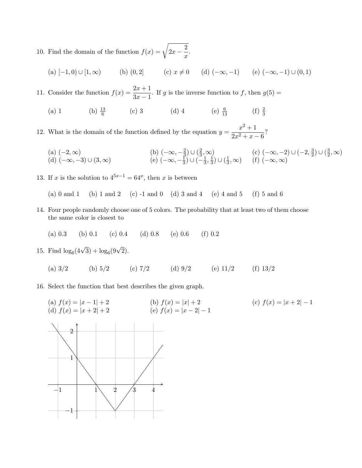10. Find the domain of the function  $f(x) = \sqrt{2x - \frac{2}{x}}$  $\frac{z}{x}$ .

(a) 
$$
[-1,0) \cup [1,\infty)
$$
 (b)  $(0,2]$  (c)  $x \neq 0$  (d)  $(-\infty,-1)$  (e)  $(-\infty,-1) \cup (0,1)$ 

11. Consider the function  $f(x) = \frac{2x+1}{3x-1}$ . If g is the inverse function to f, then  $g(5) =$ 

(a) 1 (b)  $\frac{13}{6}$  (c) 3 (d) 4 (e)  $\frac{6}{13}$  (f)  $\frac{2}{3}$ 

12. What is the domain of the function defined by the equation  $y = \frac{x^2 + 1}{2x^2 + 1}$  $\frac{x+1}{2x^2+x-6}$ ?

(a) 
$$
(-2, \infty)
$$
  
\n(b)  $(-\infty, -\frac{2}{3}) \cup (\frac{2}{3}, \infty)$   
\n(c)  $(-\infty, -2) \cup (-2, \frac{3}{2}) \cup (\frac{3}{2}, \infty)$   
\n(d)  $(-\infty, -3) \cup (3, \infty)$   
\n(e)  $(-\infty, -\frac{1}{3}) \cup (-\frac{1}{3}, \frac{1}{3}) \cup (\frac{1}{3}, \infty)$   
\n(f)  $(-\infty, \infty)$ 

13. If x is the solution to  $4^{5x-1} = 64^x$ , then x is between

(a) 0 and 1 (b) 1 and 2 (c) -1 and 0 (d) 3 and 4 (e) 4 and 5 (f) 5 and 6

- 14. Four people randomly choose one of 5 colors. The probability that at least two of them choose the same color is closest to
	- (a) 0.3 (b) 0.1 (c) 0.4 (d) 0.8 (e) 0.6 (f) 0.2

15. Find  $\log_6(4\sqrt{3}) + \log_6(9\sqrt{2})$ .

- (a)  $3/2$  (b)  $5/2$  (c)  $7/2$  (d)  $9/2$  (e)  $11/2$  (f)  $13/2$
- 16. Select the function that best describes the given graph.
	- (b)  $f(x) = |x| + 2$ <br>(e)  $f(x) = |x 2| 1$ <br>(c)  $f(x) = |x + 2| 1$ (a)  $f(x) = |x - 1| + 2$ <br>(d)  $f(x) = |x + 2| + 2$

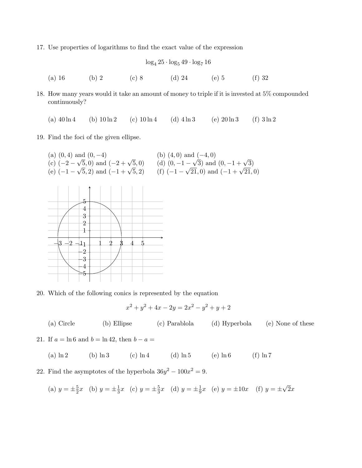17. Use properties of logarithms to find the exact value of the expression

$$
\log_4 25 \cdot \log_5 49 \cdot \log_7 16
$$
\n(a) 16\n(b) 2\n(c) 8\n(d) 24\n(e) 5\n(f) 32

18. How many years would it take an amount of money to triple if it is invested at 5% compounded continuously?

(a)  $40 \ln 4$  (b)  $10 \ln 2$  (c)  $10 \ln 4$  (d)  $4 \ln 3$  (e)  $20 \ln 3$  (f)  $3 \ln 2$ 

19. Find the foci of the given ellipse.



20. Which of the following conics is represented by the equation

$$
x^2 + y^2 + 4x - 2y = 2x^2 - y^2 + y + 2
$$

(a) Circle (b) Ellipse (c) Parablola (d) Hyperbola (e) None of these

21. If  $a = \ln 6$  and  $b = \ln 42$ , then  $b - a =$ 

- (a)  $\ln 2$  (b)  $\ln 3$  (c)  $\ln 4$  (d)  $\ln 5$  (e)  $\ln 6$  (f)  $\ln 7$
- 22. Find the asymptotes of the hyperbola  $36y^2 100x^2 = 9$ .

(a) 
$$
y = \pm \frac{5}{2}x
$$
 (b)  $y = \pm \frac{1}{3}x$  (c)  $y = \pm \frac{5}{3}x$  (d)  $y = \pm \frac{1}{9}x$  (e)  $y = \pm 10x$  (f)  $y = \pm \sqrt{2}x$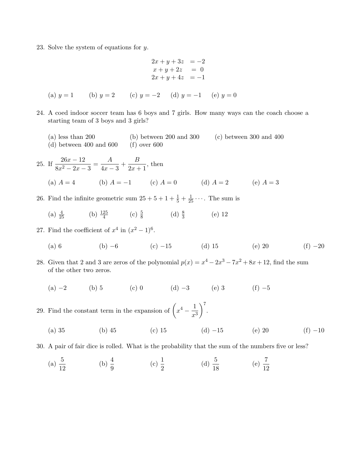23. Solve the system of equations for y.

$$
2x + y + 3z = -2
$$
  
\n
$$
x + y + 2z = 0
$$
  
\n
$$
2x + y + 4z = -1
$$
  
\n(a)  $y = 1$  (b)  $y = 2$  (c)  $y = -2$  (d)  $y = -1$  (e)  $y = 0$ 

- 24. A coed indoor soccer team has 6 boys and 7 girls. How many ways can the coach choose a starting team of 3 boys and 3 girls?
	- (a) less than 200 (b) between 200 and 300 (c) between 300 and 400 (d) between 400 and  $600$  (f) over  $600$

25. If 
$$
\frac{26x - 12}{8x^2 - 2x - 3} = \frac{A}{4x - 3} + \frac{B}{2x + 1}
$$
, then  
\n(a)  $A = 4$  (b)  $A = -1$  (c)  $A = 0$  (d)  $A = 2$  (e)  $A = 3$ 

- 26. Find the infinite geometric sum  $25 + 5 + 1 + \frac{1}{5} + \frac{1}{25} + \cdots$ . The sum is
	- (a)  $\frac{4}{25}$  (b)  $\frac{125}{4}$  (c)  $\frac{5}{8}$  (d)  $\frac{8}{3}$  (e) 12
- 27. Find the coefficient of  $x^4$  in  $(x^2-1)^6$ .
	- (a) 6 (b)  $-6$  (c)  $-15$  (d) 15 (e) 20 (f)  $-20$
- 28. Given that 2 and 3 are zeros of the polynomial  $p(x) = x^4 2x^3 7x^2 + 8x + 12$ , find the sum of the other two zeros.
	- (a) −2 (b) 5 (c) 0 (d) −3 (e) 3 (f) −5
- 29. Find the constant term in the expansion of  $\left(x^4 \frac{1}{x^4}\right)$  $x^3$  $\bigg)$ <sup>7</sup>.
	- (a) 35 (b) 45 (c) 15 (d) −15 (e) 20 (f) −10

30. A pair of fair dice is rolled. What is the probability that the sum of the numbers five or less?

(a)  $\frac{5}{12}$  (b)  $\frac{4}{9}$  (c)  $\frac{1}{2}$  (d)  $\frac{5}{18}$  (e)  $\frac{7}{12}$